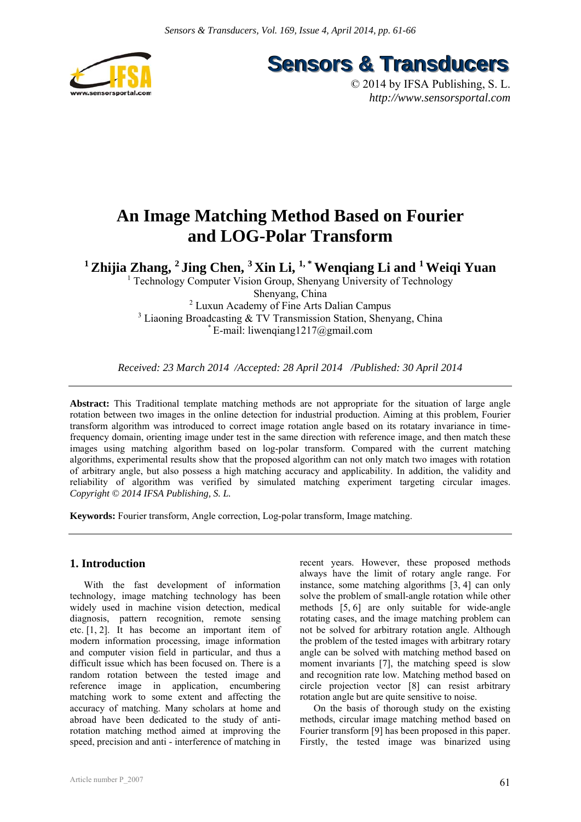



© 2014 by IFSA Publishing, S. L. *http://www.sensorsportal.com*

# **An Image Matching Method Based on Fourier and LOG-Polar Transform**

<sup>1</sup> Zhijia Zhang, <sup>2</sup> Jing Chen, <sup>3</sup> Xin Li, <sup>1,\*</sup> Wenqiang Li and <sup>1</sup> Weiqi Yuan

<sup>1</sup> Technology Computer Vision Group, Shenyang University of Technology Shenyang, China 2 Luxun Academy of Fine Arts Dalian Campus <sup>3</sup> Liaoning Broadcasting & TV Transmission Station, Shenyang, China  $E$ -mail: liwengiang1217@gmail.com

*Received: 23 March 2014 /Accepted: 28 April 2014 /Published: 30 April 2014* 

**Abstract:** This Traditional template matching methods are not appropriate for the situation of large angle rotation between two images in the online detection for industrial production. Aiming at this problem, Fourier transform algorithm was introduced to correct image rotation angle based on its rotatary invariance in timefrequency domain, orienting image under test in the same direction with reference image, and then match these images using matching algorithm based on log-polar transform. Compared with the current matching algorithms, experimental results show that the proposed algorithm can not only match two images with rotation of arbitrary angle, but also possess a high matching accuracy and applicability. In addition, the validity and reliability of algorithm was verified by simulated matching experiment targeting circular images. *Copyright © 2014 IFSA Publishing, S. L.*

**Keywords:** Fourier transform, Angle correction, Log-polar transform, Image matching.

# **1. Introduction**

With the fast development of information technology, image matching technology has been widely used in machine vision detection, medical diagnosis, pattern recognition, remote sensing etc. [1, 2]. It has become an important item of modern information processing, image information and computer vision field in particular, and thus a difficult issue which has been focused on. There is a random rotation between the tested image and reference image in application, encumbering matching work to some extent and affecting the accuracy of matching. Many scholars at home and abroad have been dedicated to the study of antirotation matching method aimed at improving the speed, precision and anti - interference of matching in recent years. However, these proposed methods always have the limit of rotary angle range. For instance, some matching algorithms [3, 4] can only solve the problem of small-angle rotation while other methods [5, 6] are only suitable for wide-angle rotating cases, and the image matching problem can not be solved for arbitrary rotation angle. Although the problem of the tested images with arbitrary rotary angle can be solved with matching method based on moment invariants [7], the matching speed is slow and recognition rate low. Matching method based on circle projection vector [8] can resist arbitrary rotation angle but are quite sensitive to noise.

On the basis of thorough study on the existing methods, circular image matching method based on Fourier transform [9] has been proposed in this paper. Firstly, the tested image was binarized using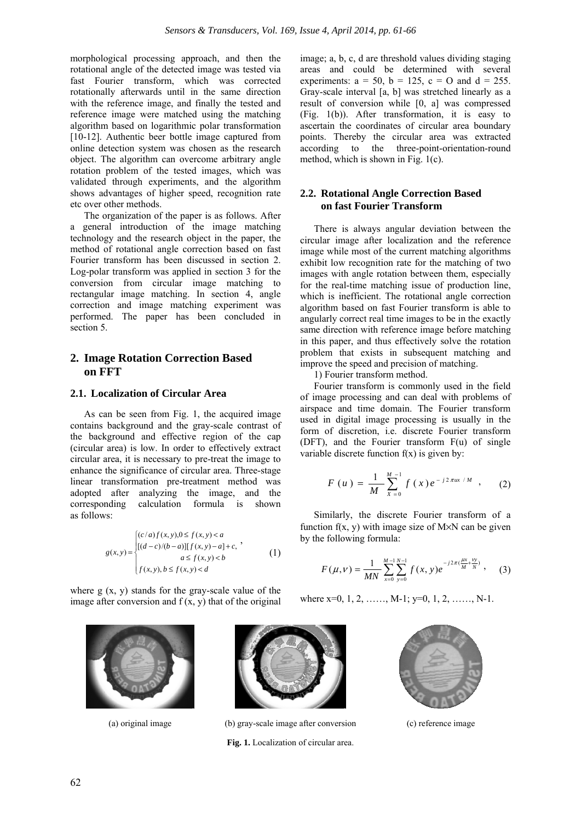morphological processing approach, and then the rotational angle of the detected image was tested via fast Fourier transform, which was corrected rotationally afterwards until in the same direction with the reference image, and finally the tested and reference image were matched using the matching algorithm based on logarithmic polar transformation [10-12]. Authentic beer bottle image captured from online detection system was chosen as the research object. The algorithm can overcome arbitrary angle rotation problem of the tested images, which was validated through experiments, and the algorithm shows advantages of higher speed, recognition rate etc over other methods.

The organization of the paper is as follows. After a general introduction of the image matching technology and the research object in the paper, the method of rotational angle correction based on fast Fourier transform has been discussed in section 2. Log-polar transform was applied in section 3 for the conversion from circular image matching to rectangular image matching. In section 4, angle correction and image matching experiment was performed. The paper has been concluded in section 5.

# **2. Image Rotation Correction Based on FFT**

## **2.1. Localization of Circular Area**

As can be seen from Fig. 1, the acquired image contains background and the gray-scale contrast of the background and effective region of the cap (circular area) is low. In order to effectively extract circular area, it is necessary to pre-treat the image to enhance the significance of circular area. Three-stage linear transformation pre-treatment method was adopted after analyzing the image, and the corresponding calculation formula is shown as follows:

$$
g(x,y) = \begin{cases} (c/a) f(x,y), 0 \le f(x,y) < a \\ [(d-c)/(b-a)][f(x,y)-a]+c, \\ a \le f(x,y) < b \\ f(x,y), b \le f(x,y) < d \end{cases}
$$
(1)

where  $g(x, y)$  stands for the gray-scale value of the image after conversion and  $f(x, y)$  that of the original





## **2.2. Rotational Angle Correction Based on fast Fourier Transform**

There is always angular deviation between the circular image after localization and the reference image while most of the current matching algorithms exhibit low recognition rate for the matching of two images with angle rotation between them, especially for the real-time matching issue of production line, which is inefficient. The rotational angle correction algorithm based on fast Fourier transform is able to angularly correct real time images to be in the exactly same direction with reference image before matching in this paper, and thus effectively solve the rotation problem that exists in subsequent matching and improve the speed and precision of matching.

1) Fourier transform method.

Fourier transform is commonly used in the field of image processing and can deal with problems of airspace and time domain. The Fourier transform used in digital image processing is usually in the form of discretion, i.e. discrete Fourier transform (DFT), and the Fourier transform F(u) of single variable discrete function  $f(x)$  is given by:

$$
F(u) = \frac{1}{M} \sum_{x=0}^{M-1} f(x) e^{-j2\pi ux/M} , \qquad (2)
$$

Similarly, the discrete Fourier transform of a function  $f(x, y)$  with image size of M $\times$ N can be given by the following formula:

$$
F(\mu,\nu) = \frac{1}{MN} \sum_{x=0}^{M-1} \sum_{y=0}^{N-1} f(x,y) e^{-j2\pi(\frac{\mu x}{M} + \frac{yy}{N})}, \quad (3)
$$

where x=0, 1, 2, ……, M-1; y=0, 1, 2, ……, N-1.



(a) original image (b) gray-scale image after conversion (c) reference image **Fig. 1.** Localization of circular area.

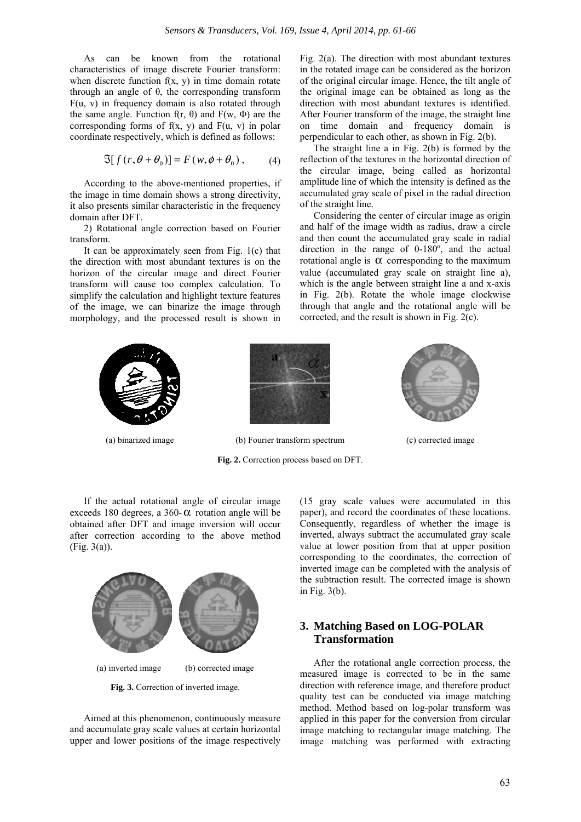As can be known from the rotational characteristics of image discrete Fourier transform: when discrete function  $f(x, y)$  in time domain rotate through an angle of θ, the corresponding transform  $F(u, v)$  in frequency domain is also rotated through the same angle. Function f(r, θ) and  $F(w, Φ)$  are the corresponding forms of  $f(x, y)$  and  $F(u, y)$  in polar coordinate respectively, which is defined as follows:

$$
\mathfrak{I}[f(r,\theta+\theta_0)] = F(w,\phi+\theta_0), \quad (4)
$$

According to the above-mentioned properties, if the image in time domain shows a strong directivity, it also presents similar characteristic in the frequency domain after DFT.

2) Rotational angle correction based on Fourier transform.

It can be approximately seen from Fig. 1(c) that the direction with most abundant textures is on the horizon of the circular image and direct Fourier transform will cause too complex calculation. To simplify the calculation and highlight texture features of the image, we can binarize the image through morphology, and the processed result is shown in

Fig. 2(a). The direction with most abundant textures in the rotated image can be considered as the horizon of the original circular image. Hence, the tilt angle of the original image can be obtained as long as the direction with most abundant textures is identified. After Fourier transform of the image, the straight line on time domain and frequency domain is perpendicular to each other, as shown in Fig. 2(b).

The straight line a in Fig. 2(b) is formed by the reflection of the textures in the horizontal direction of the circular image, being called as horizontal amplitude line of which the intensity is defined as the accumulated gray scale of pixel in the radial direction of the straight line.

Considering the center of circular image as origin and half of the image width as radius, draw a circle and then count the accumulated gray scale in radial direction in the range of 0-180º, and the actual rotational angle is  $\alpha$  corresponding to the maximum value (accumulated gray scale on straight line a), which is the angle between straight line a and x-axis in Fig. 2(b). Rotate the whole image clockwise through that angle and the rotational angle will be corrected, and the result is shown in Fig. 2(c).



**Fig. 2.** Correction process based on DFT.





**Fig. 3.** Correction of inverted image.

Aimed at this phenomenon, continuously measure and accumulate gray scale values at certain horizontal upper and lower positions of the image respectively (15 gray scale values were accumulated in this paper), and record the coordinates of these locations. Consequently, regardless of whether the image is inverted, always subtract the accumulated gray scale value at lower position from that at upper position corresponding to the coordinates, the correction of inverted image can be completed with the analysis of the subtraction result. The corrected image is shown in Fig. 3(b).

# **3. Matching Based on LOG-POLAR Transformation**

After the rotational angle correction process, the measured image is corrected to be in the same direction with reference image, and therefore product quality test can be conducted via image matching method. Method based on log-polar transform was applied in this paper for the conversion from circular image matching to rectangular image matching. The image matching was performed with extracting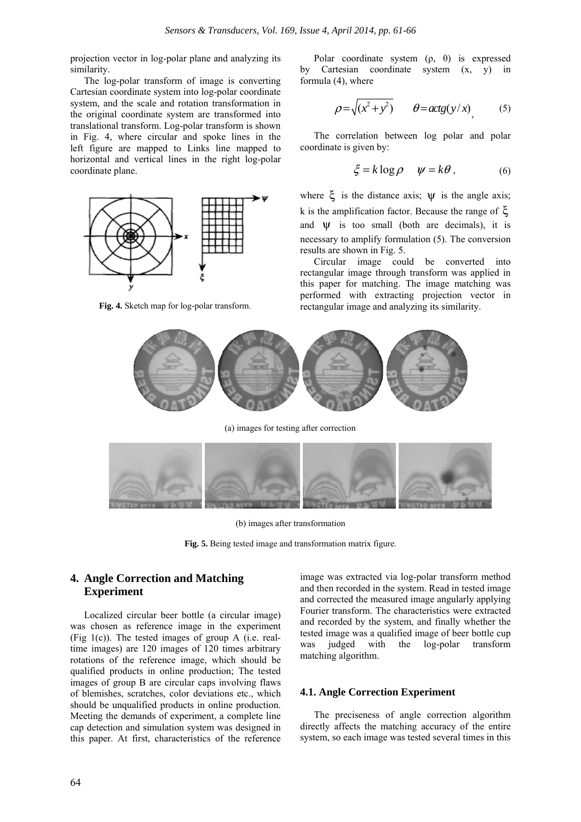projection vector in log-polar plane and analyzing its similarity.

The log-polar transform of image is converting Cartesian coordinate system into log-polar coordinate system, and the scale and rotation transformation in the original coordinate system are transformed into translational transform. Log-polar transform is shown in Fig. 4, where circular and spoke lines in the left figure are mapped to Links line mapped to horizontal and vertical lines in the right log-polar coordinate plane.



**Fig. 4.** Sketch map for log-polar transform.

Polar coordinate system  $(\rho, \theta)$  is expressed by Cartesian coordinate system (x, y) in formula (4), where

$$
\rho = \sqrt{(x^2 + y^2)} \qquad \theta = \arg(y/x) \tag{5}
$$

The correlation between log polar and polar coordinate is given by:

$$
\xi = k \log \rho \quad \psi = k\theta, \tag{6}
$$

where  $\xi$  is the distance axis;  $\Psi$  is the angle axis; k is the amplification factor. Because the range of ξ and  $\Psi$  is too small (both are decimals), it is necessary to amplify formulation (5). The conversion results are shown in Fig. 5.

Circular image could be converted into rectangular image through transform was applied in this paper for matching. The image matching was performed with extracting projection vector in rectangular image and analyzing its similarity.



(a) images for testing after correction



(b) images after transformation

**Fig. 5.** Being tested image and transformation matrix figure.

# **4. Angle Correction and Matching Experiment**

Localized circular beer bottle (a circular image) was chosen as reference image in the experiment (Fig  $1(c)$ ). The tested images of group A (i.e. realtime images) are 120 images of 120 times arbitrary rotations of the reference image, which should be qualified products in online production; The tested images of group B are circular caps involving flaws of blemishes, scratches, color deviations etc., which should be unqualified products in online production. Meeting the demands of experiment, a complete line cap detection and simulation system was designed in this paper. At first, characteristics of the reference image was extracted via log-polar transform method and then recorded in the system. Read in tested image and corrected the measured image angularly applying Fourier transform. The characteristics were extracted and recorded by the system, and finally whether the tested image was a qualified image of beer bottle cup was judged with the log-polar transform matching algorithm.

### **4.1. Angle Correction Experiment**

The preciseness of angle correction algorithm directly affects the matching accuracy of the entire system, so each image was tested several times in this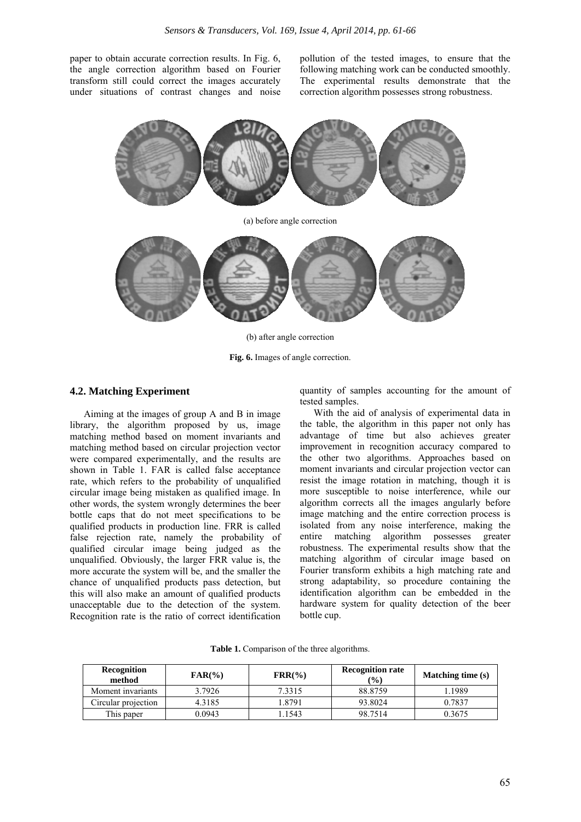paper to obtain accurate correction results. In Fig. 6, the angle correction algorithm based on Fourier transform still could correct the images accurately under situations of contrast changes and noise pollution of the tested images, to ensure that the following matching work can be conducted smoothly. The experimental results demonstrate that the correction algorithm possesses strong robustness.



(b) after angle correction

**Fig. 6.** Images of angle correction.

#### **4.2. Matching Experiment**

Aiming at the images of group A and B in image library, the algorithm proposed by us, image matching method based on moment invariants and matching method based on circular projection vector were compared experimentally, and the results are shown in Table 1. FAR is called false acceptance rate, which refers to the probability of unqualified circular image being mistaken as qualified image. In other words, the system wrongly determines the beer bottle caps that do not meet specifications to be qualified products in production line. FRR is called false rejection rate, namely the probability of qualified circular image being judged as the unqualified. Obviously, the larger FRR value is, the more accurate the system will be, and the smaller the chance of unqualified products pass detection, but this will also make an amount of qualified products unacceptable due to the detection of the system. Recognition rate is the ratio of correct identification

quantity of samples accounting for the amount of tested samples.

With the aid of analysis of experimental data in the table, the algorithm in this paper not only has advantage of time but also achieves greater improvement in recognition accuracy compared to the other two algorithms. Approaches based on moment invariants and circular projection vector can resist the image rotation in matching, though it is more susceptible to noise interference, while our algorithm corrects all the images angularly before image matching and the entire correction process is isolated from any noise interference, making the entire matching algorithm possesses greater robustness. The experimental results show that the matching algorithm of circular image based on Fourier transform exhibits a high matching rate and strong adaptability, so procedure containing the identification algorithm can be embedded in the hardware system for quality detection of the beer bottle cup.

| <b>Recognition</b><br>method | $FAR(\% )$ | $\text{FRR}(\% )$ | <b>Recognition rate</b><br>$\frac{9}{6}$ | <b>Matching time (s)</b> |
|------------------------------|------------|-------------------|------------------------------------------|--------------------------|
| Moment invariants            | 3.7926     | 7.3315            | 88.8759                                  | 1.1989                   |
| Circular projection          | 4.3185     | 1.8791            | 93.8024                                  | 0.7837                   |
| This paper                   | 0.0943     | 1.1543            | 98.7514                                  | 0.3675                   |